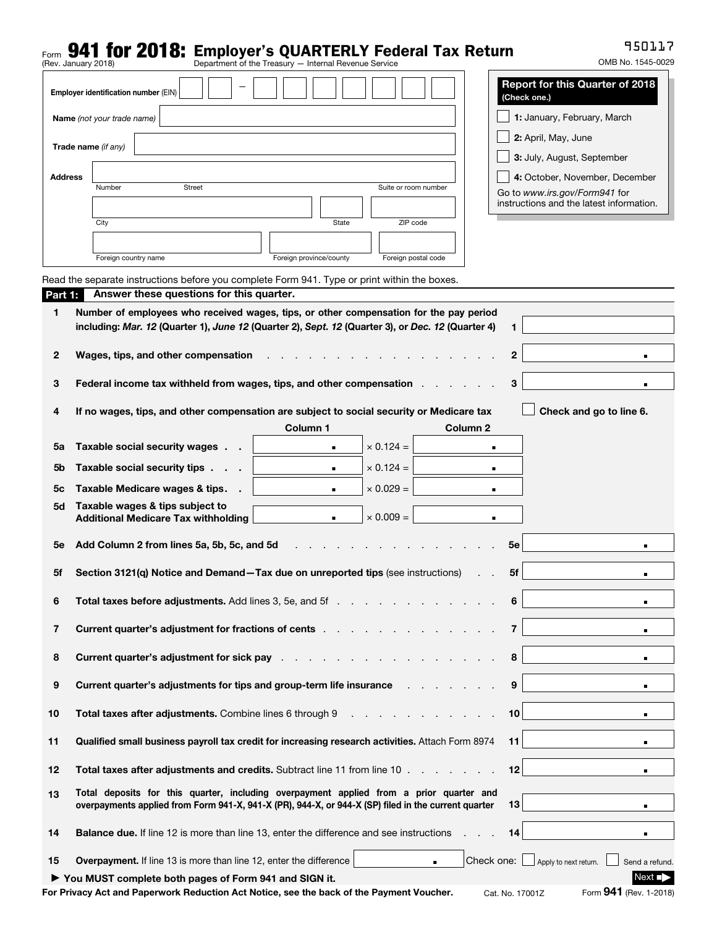# Form **941 for 2018:** Employer's QUARTERLY Federal Tax Return<br>(Rev. January 2018)<br>**Department of the Treasury — Internal Revenue Service**

950117

|                | (Rev. January 2018)                                                                                                                                                                                                                  | Department of the Treasury - Internal Revenue Service                                             |                                       | OMB No. 1545-0029                        |  |  |
|----------------|--------------------------------------------------------------------------------------------------------------------------------------------------------------------------------------------------------------------------------------|---------------------------------------------------------------------------------------------------|---------------------------------------|------------------------------------------|--|--|
|                | Employer identification number (EIN)                                                                                                                                                                                                 |                                                                                                   | (Check one.)                          | <b>Report for this Quarter of 2018</b>   |  |  |
|                | Name (not your trade name)                                                                                                                                                                                                           |                                                                                                   | 1: January, February, March           |                                          |  |  |
|                | Trade name (if any)                                                                                                                                                                                                                  |                                                                                                   | 2: April, May, June                   |                                          |  |  |
|                |                                                                                                                                                                                                                                      |                                                                                                   | 3: July, August, September            |                                          |  |  |
| <b>Address</b> | <b>Street</b><br>Number                                                                                                                                                                                                              | Suite or room number                                                                              |                                       | 4: October, November, December           |  |  |
|                |                                                                                                                                                                                                                                      |                                                                                                   | Go to www.irs.gov/Form941 for         | instructions and the latest information. |  |  |
|                | City                                                                                                                                                                                                                                 | ZIP code<br>State                                                                                 |                                       |                                          |  |  |
|                |                                                                                                                                                                                                                                      |                                                                                                   |                                       |                                          |  |  |
|                | Foreign country name                                                                                                                                                                                                                 | Foreign province/county<br>Foreign postal code                                                    |                                       |                                          |  |  |
| Part 1:        | Answer these questions for this quarter.                                                                                                                                                                                             | Read the separate instructions before you complete Form 941. Type or print within the boxes.      |                                       |                                          |  |  |
| 1              |                                                                                                                                                                                                                                      | Number of employees who received wages, tips, or other compensation for the pay period            |                                       |                                          |  |  |
|                |                                                                                                                                                                                                                                      | including: Mar. 12 (Quarter 1), June 12 (Quarter 2), Sept. 12 (Quarter 3), or Dec. 12 (Quarter 4) | 1.                                    |                                          |  |  |
| 2              | Wages, tips, and other compensation                                                                                                                                                                                                  |                                                                                                   | $\mathbf{2}$                          | $\blacksquare$                           |  |  |
|                |                                                                                                                                                                                                                                      | Federal income tax withheld from wages, tips, and other compensation .                            | 3                                     |                                          |  |  |
| 3              |                                                                                                                                                                                                                                      |                                                                                                   |                                       | п                                        |  |  |
| 4              |                                                                                                                                                                                                                                      | If no wages, tips, and other compensation are subject to social security or Medicare tax          |                                       | Check and go to line 6.                  |  |  |
| 5a             | Taxable social security wages.                                                                                                                                                                                                       | Column 1<br>$\times$ 0.124 =<br>٠                                                                 | Column <sub>2</sub><br>$\blacksquare$ |                                          |  |  |
| 5b             | Taxable social security tips.                                                                                                                                                                                                        | $\times$ 0.124 =<br>$\blacksquare$                                                                | ٠                                     |                                          |  |  |
| 5с             | Taxable Medicare wages & tips.                                                                                                                                                                                                       | $\times$ 0.029 =<br>$\blacksquare$                                                                | $\blacksquare$                        |                                          |  |  |
| 5d             | Taxable wages & tips subject to                                                                                                                                                                                                      |                                                                                                   |                                       |                                          |  |  |
|                | <b>Additional Medicare Tax withholding</b>                                                                                                                                                                                           | $\times$ 0.009 =<br>$\blacksquare$                                                                | $\blacksquare$                        |                                          |  |  |
| 5е             | Add Column 2 from lines 5a, 5b, 5c, and 5d                                                                                                                                                                                           |                                                                                                   | 5e                                    | ٠                                        |  |  |
| 5f             |                                                                                                                                                                                                                                      | Section 3121(q) Notice and Demand-Tax due on unreported tips (see instructions)                   | 5f                                    |                                          |  |  |
|                |                                                                                                                                                                                                                                      | Total taxes before adjustments. Add lines 3, 5e, and 5f                                           | 6                                     |                                          |  |  |
| 6              |                                                                                                                                                                                                                                      |                                                                                                   | ٠                                     |                                          |  |  |
| 7              | <b>Current quarter's adjustment for fractions of cents</b>                                                                                                                                                                           | $\overline{7}$                                                                                    | $\blacksquare$                        |                                          |  |  |
| 8              | <b>Current quarter's adjustment for sick pay respect to the contract of the contract of the contract of the contract of the contract of the contract of the contract of the contract of the contract of the contract of the cont</b> | 8                                                                                                 | $\blacksquare$                        |                                          |  |  |
| 9              | <b>Current quarter's adjustments for tips and group-term life insurance</b> and a real of the current quarter's adjustments for tips and group-term life insurance                                                                   | 9                                                                                                 | $\blacksquare$                        |                                          |  |  |
| 10             | Total taxes after adjustments. Combine lines 6 through 9                                                                                                                                                                             | 10<br>$\mathbf{r}$ , and $\mathbf{r}$ , and $\mathbf{r}$ , and $\mathbf{r}$                       | $\blacksquare$                        |                                          |  |  |
| 11             | Qualified small business payroll tax credit for increasing research activities. Attach Form 8974                                                                                                                                     | 11                                                                                                | $\blacksquare$                        |                                          |  |  |
| 12             | <b>Total taxes after adjustments and credits.</b> Subtract line 11 from line 10                                                                                                                                                      | 12                                                                                                | $\blacksquare$                        |                                          |  |  |
| 13             | Total deposits for this quarter, including overpayment applied from a prior quarter and<br>13<br>overpayments applied from Form 941-X, 941-X (PR), 944-X, or 944-X (SP) filed in the current quarter<br>$\blacksquare$               |                                                                                                   |                                       |                                          |  |  |
|                |                                                                                                                                                                                                                                      |                                                                                                   |                                       |                                          |  |  |
| 14             |                                                                                                                                                                                                                                      | <b>Balance due.</b> If line 12 is more than line 13, enter the difference and see instructions    | 14                                    | $\blacksquare$                           |  |  |
| 15             | <b>Overpayment.</b> If line 13 is more than line 12, enter the difference                                                                                                                                                            | $\blacksquare$                                                                                    | Check one:<br>Apply to next return.   | Send a refund.                           |  |  |

▶ You MUST complete both pages of Form 941 and SIGN it. Next ■ Next ■ Next ■ Next ■ Next ■

For Privacy Act and Paperwork Reduction Act Notice, see the back of the Payment Voucher. Cat. No. 17001Z Form 941 (Rev. 1-2018)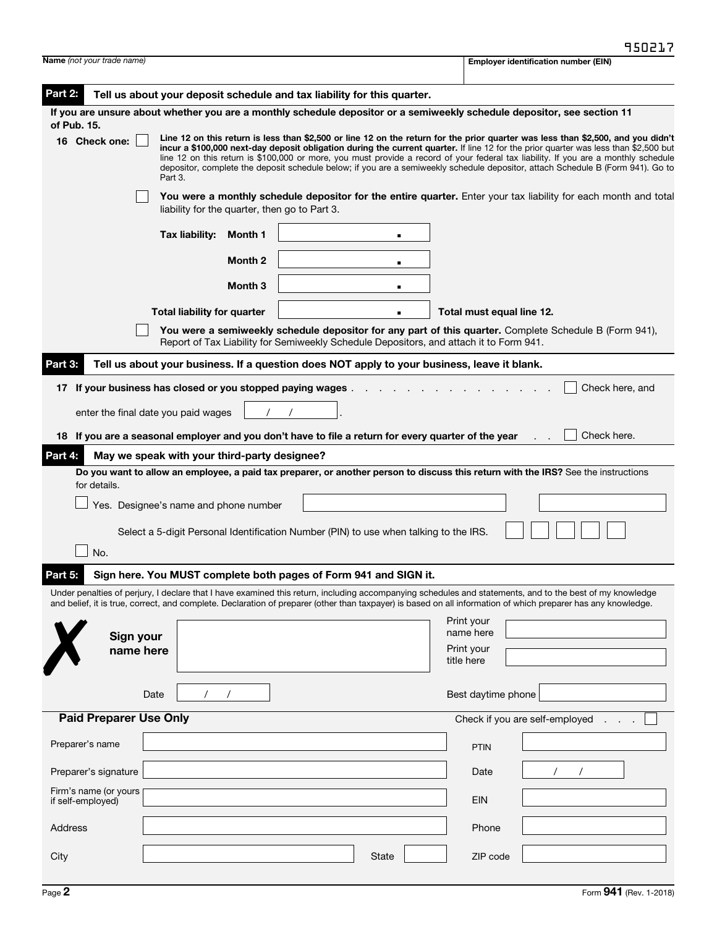| <b>Name</b> (not your trade name)                                                                                                                                                                                                                                                                                                                                                                                                                                                                                                                                                             | <b>Employer identification number (EIN)</b> |
|-----------------------------------------------------------------------------------------------------------------------------------------------------------------------------------------------------------------------------------------------------------------------------------------------------------------------------------------------------------------------------------------------------------------------------------------------------------------------------------------------------------------------------------------------------------------------------------------------|---------------------------------------------|
| Part 2:<br>Tell us about your deposit schedule and tax liability for this quarter.                                                                                                                                                                                                                                                                                                                                                                                                                                                                                                            |                                             |
| If you are unsure about whether you are a monthly schedule depositor or a semiweekly schedule depositor, see section 11                                                                                                                                                                                                                                                                                                                                                                                                                                                                       |                                             |
| of Pub. 15.<br>Line 12 on this return is less than \$2,500 or line 12 on the return for the prior quarter was less than \$2,500, and you didn't<br>16 Check one:<br>incur a \$100,000 next-day deposit obligation during the current quarter. If line 12 for the prior quarter was less than \$2,500 but<br>line 12 on this return is \$100,000 or more, you must provide a record of your federal tax liability. If you are a monthly schedule<br>depositor, complete the deposit schedule below; if you are a semiweekly schedule depositor, attach Schedule B (Form 941). Go to<br>Part 3. |                                             |
| You were a monthly schedule depositor for the entire quarter. Enter your tax liability for each month and total<br>liability for the quarter, then go to Part 3.                                                                                                                                                                                                                                                                                                                                                                                                                              |                                             |
| Tax liability:<br>Month 1                                                                                                                                                                                                                                                                                                                                                                                                                                                                                                                                                                     |                                             |
| Month 2<br>٠                                                                                                                                                                                                                                                                                                                                                                                                                                                                                                                                                                                  |                                             |
| Month <sub>3</sub><br>$\blacksquare$                                                                                                                                                                                                                                                                                                                                                                                                                                                                                                                                                          |                                             |
| <b>Total liability for quarter</b>                                                                                                                                                                                                                                                                                                                                                                                                                                                                                                                                                            | Total must equal line 12.                   |
| You were a semiweekly schedule depositor for any part of this quarter. Complete Schedule B (Form 941),<br>Report of Tax Liability for Semiweekly Schedule Depositors, and attach it to Form 941.                                                                                                                                                                                                                                                                                                                                                                                              |                                             |
| Part 3:<br>Tell us about your business. If a question does NOT apply to your business, leave it blank.                                                                                                                                                                                                                                                                                                                                                                                                                                                                                        |                                             |
| 17 If your business has closed or you stopped paying wages.                                                                                                                                                                                                                                                                                                                                                                                                                                                                                                                                   | Check here, and                             |
| enter the final date you paid wages                                                                                                                                                                                                                                                                                                                                                                                                                                                                                                                                                           |                                             |
| 18 If you are a seasonal employer and you don't have to file a return for every quarter of the year                                                                                                                                                                                                                                                                                                                                                                                                                                                                                           | Check here.                                 |
| Part 4:<br>May we speak with your third-party designee?                                                                                                                                                                                                                                                                                                                                                                                                                                                                                                                                       |                                             |
| Do you want to allow an employee, a paid tax preparer, or another person to discuss this return with the IRS? See the instructions<br>for details.                                                                                                                                                                                                                                                                                                                                                                                                                                            |                                             |
| Yes. Designee's name and phone number                                                                                                                                                                                                                                                                                                                                                                                                                                                                                                                                                         |                                             |
| Select a 5-digit Personal Identification Number (PIN) to use when talking to the IRS.                                                                                                                                                                                                                                                                                                                                                                                                                                                                                                         |                                             |
| No.                                                                                                                                                                                                                                                                                                                                                                                                                                                                                                                                                                                           |                                             |
| Sign here. You MUST complete both pages of Form 941 and SIGN it.<br>Part 5:                                                                                                                                                                                                                                                                                                                                                                                                                                                                                                                   |                                             |
| Under penalties of perjury, I declare that I have examined this return, including accompanying schedules and statements, and to the best of my knowledge<br>and belief, it is true, correct, and complete. Declaration of preparer (other than taxpayer) is based on all information of which preparer has any knowledge.                                                                                                                                                                                                                                                                     |                                             |
|                                                                                                                                                                                                                                                                                                                                                                                                                                                                                                                                                                                               | Print your                                  |
| Sign your<br>name here                                                                                                                                                                                                                                                                                                                                                                                                                                                                                                                                                                        | name here<br>Print your                     |
| title here                                                                                                                                                                                                                                                                                                                                                                                                                                                                                                                                                                                    |                                             |
| Date                                                                                                                                                                                                                                                                                                                                                                                                                                                                                                                                                                                          | Best daytime phone                          |
| <b>Paid Preparer Use Only</b>                                                                                                                                                                                                                                                                                                                                                                                                                                                                                                                                                                 | Check if you are self-employed              |
| Preparer's name                                                                                                                                                                                                                                                                                                                                                                                                                                                                                                                                                                               | <b>PTIN</b>                                 |
| Preparer's signature                                                                                                                                                                                                                                                                                                                                                                                                                                                                                                                                                                          | Date                                        |
| Firm's name (or yours<br>if self-employed)                                                                                                                                                                                                                                                                                                                                                                                                                                                                                                                                                    | <b>EIN</b>                                  |
| Address                                                                                                                                                                                                                                                                                                                                                                                                                                                                                                                                                                                       | Phone                                       |
| City<br>State                                                                                                                                                                                                                                                                                                                                                                                                                                                                                                                                                                                 | ZIP code                                    |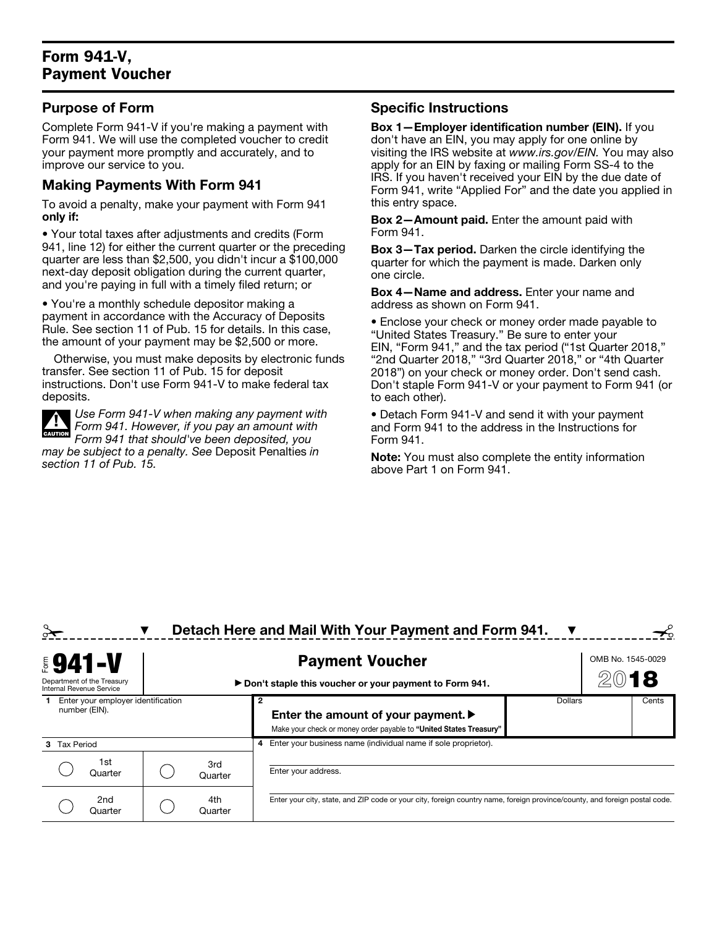## Form 941-V, Payment Voucher

#### Purpose of Form

Complete Form 941-V if you're making a payment with Form 941. We will use the completed voucher to credit your payment more promptly and accurately, and to improve our service to you.

#### Making Payments With Form 941

To avoid a penalty, make your payment with Form 941 only if:

• Your total taxes after adjustments and credits (Form 941, line 12) for either the current quarter or the preceding quarter are less than \$2,500, you didn't incur a \$100,000 next-day deposit obligation during the current quarter, and you're paying in full with a timely filed return; or

• You're a monthly schedule depositor making a payment in accordance with the Accuracy of Deposits Rule. See section 11 of Pub. 15 for details. In this case, the amount of your payment may be \$2,500 or more.

Otherwise, you must make deposits by electronic funds transfer. See section 11 of Pub. 15 for deposit instructions. Don't use Form 941-V to make federal tax deposits.



*Use Form 941-V when making any payment with Form 941. However, if you pay an amount with Form 941 that should've been deposited, you may be subject to a penalty. See* Deposit Penalties *in section 11 of Pub. 15.*

### Specific Instructions

Box 1—Employer identification number (EIN). If you don't have an EIN, you may apply for one online by visiting the IRS website at *www.irs.gov/EIN.* You may also apply for an EIN by faxing or mailing Form SS-4 to the IRS. If you haven't received your EIN by the due date of Form 941, write "Applied For" and the date you applied in this entry space.

Box 2—Amount paid. Enter the amount paid with Form 941.

Box 3—Tax period. Darken the circle identifying the quarter for which the payment is made. Darken only one circle.

Box 4—Name and address. Enter your name and address as shown on Form 941.

• Enclose your check or money order made payable to "United States Treasury." Be sure to enter your EIN, "Form 941," and the tax period ("1st Quarter 2018," "2nd Quarter 2018," "3rd Quarter 2018," or "4th Quarter 2018") on your check or money order. Don't send cash. Don't staple Form 941-V or your payment to Form 941 (or to each other).

• Detach Form 941-V and send it with your payment and Form 941 to the address in the Instructions for Form 941.

Note: You must also complete the entity information above Part 1 on Form 941.

| Detach Here and Mail With Your Payment and Form 941.                     |                                                     |  |                |                                                                                                                                                                                                      |                |                   |       |
|--------------------------------------------------------------------------|-----------------------------------------------------|--|----------------|------------------------------------------------------------------------------------------------------------------------------------------------------------------------------------------------------|----------------|-------------------|-------|
| <b>\$941-V</b><br>Department of the Treasury<br>Internal Revenue Service |                                                     |  |                | <b>Payment Voucher</b><br>▶ Don't staple this voucher or your payment to Form 941.                                                                                                                   |                | OMB No. 1545-0029 |       |
| <b>Tax Period</b>                                                        | Enter your employer identification<br>number (EIN). |  |                | Enter the amount of your payment. $\blacktriangleright$<br>Make your check or money order payable to "United States Treasury"<br>Enter your business name (individual name if sole proprietor).<br>4 | <b>Dollars</b> |                   | Cents |
|                                                                          | 1st<br>Quarter                                      |  | 3rd<br>Quarter | Enter your address.                                                                                                                                                                                  |                |                   |       |
|                                                                          | 2nd<br>Quarter                                      |  | 4th<br>Quarter | Enter your city, state, and ZIP code or your city, foreign country name, foreign province/county, and foreign postal code.                                                                           |                |                   |       |